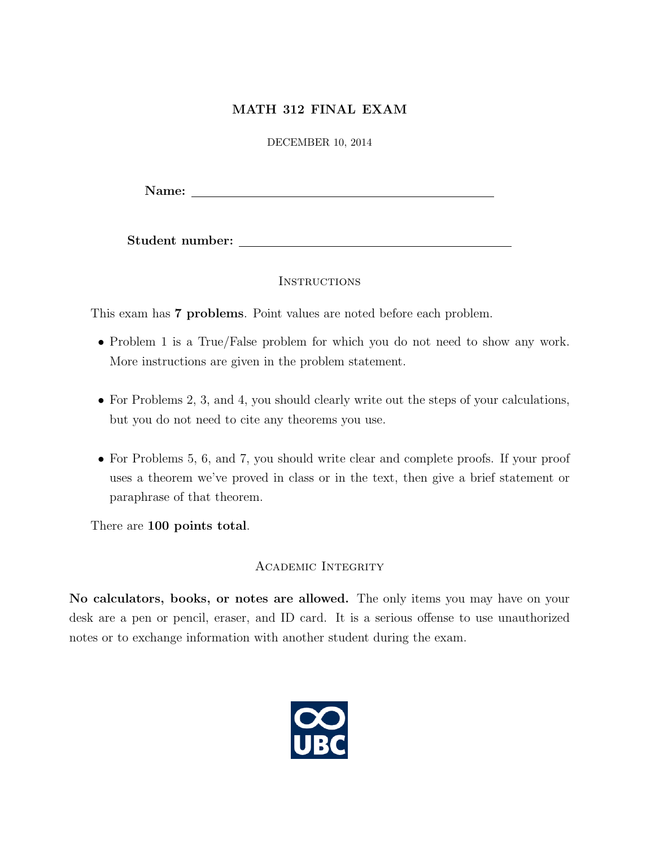## MATH 312 FINAL EXAM

DECEMBER 10, 2014

Name: Name: Name: Name: Name: Name: Name: Name: Name: Name: Name: Name: Name: Name: Name: Name: Name: Name: Name: Name: Name: Name: Name: Name: Name: Name: Name: Name: Name: Name: Name: Name: Name: Name: Name: Name: Name:

Student number:

## **INSTRUCTIONS**

This exam has 7 problems. Point values are noted before each problem.

- Problem 1 is a True/False problem for which you do not need to show any work. More instructions are given in the problem statement.
- For Problems 2, 3, and 4, you should clearly write out the steps of your calculations, but you do not need to cite any theorems you use.
- For Problems 5, 6, and 7, you should write clear and complete proofs. If your proof uses a theorem we've proved in class or in the text, then give a brief statement or paraphrase of that theorem.

There are 100 points total.

## Academic Integrity

No calculators, books, or notes are allowed. The only items you may have on your desk are a pen or pencil, eraser, and ID card. It is a serious offense to use unauthorized notes or to exchange information with another student during the exam.

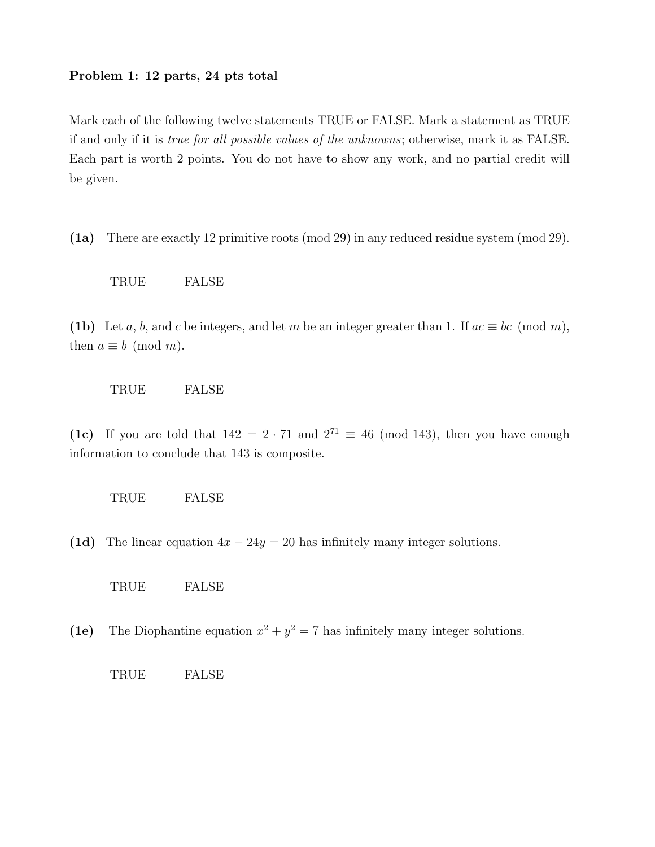#### Problem 1: 12 parts, 24 pts total

Mark each of the following twelve statements TRUE or FALSE. Mark a statement as TRUE if and only if it is true for all possible values of the unknowns; otherwise, mark it as FALSE. Each part is worth 2 points. You do not have to show any work, and no partial credit will be given.

(1a) There are exactly 12 primitive roots (mod 29) in any reduced residue system (mod 29).

TRUE FALSE

(1b) Let a, b, and c be integers, and let m be an integer greater than 1. If  $ac \equiv bc \pmod{m}$ , then  $a \equiv b \pmod{m}$ .

## TRUE FALSE

(1c) If you are told that  $142 = 2 \cdot 71$  and  $2^{71} \equiv 46 \pmod{143}$ , then you have enough information to conclude that 143 is composite.



(1d) The linear equation  $4x - 24y = 20$  has infinitely many integer solutions.

TRUE FALSE

(1e) The Diophantine equation  $x^2 + y^2 = 7$  has infinitely many integer solutions.

TRUE FALSE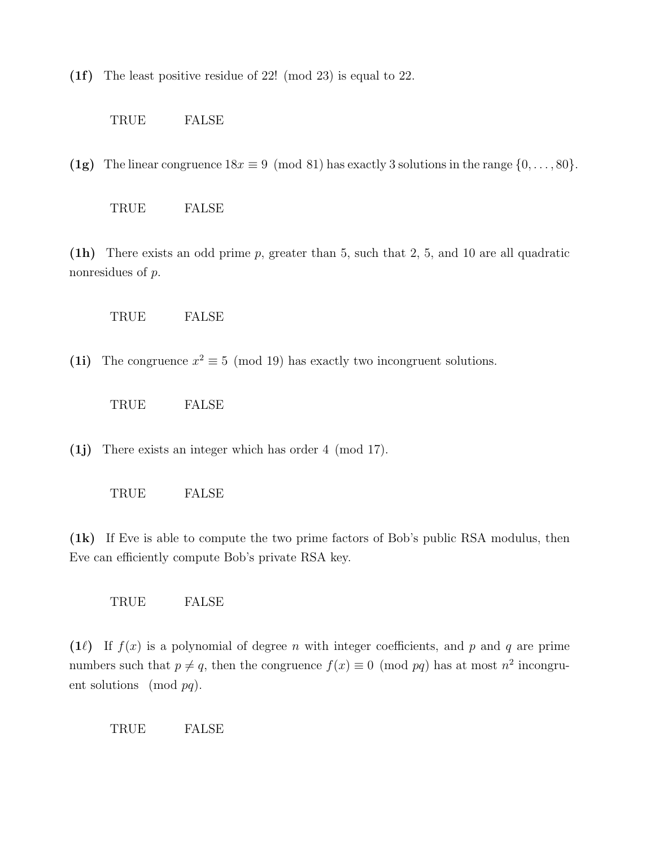(1f) The least positive residue of 22! (mod 23) is equal to 22.

TRUE FALSE

(1g) The linear congruence  $18x \equiv 9 \pmod{81}$  has exactly 3 solutions in the range  $\{0, \ldots, 80\}$ .

TRUE FALSE

(1h) There exists an odd prime p, greater than 5, such that 2, 5, and 10 are all quadratic nonresidues of  $p$ .

TRUE FALSE

(1i) The congruence  $x^2 \equiv 5 \pmod{19}$  has exactly two incongruent solutions.

TRUE FALSE

(1j) There exists an integer which has order 4 (mod 17).

TRUE FALSE

(1k) If Eve is able to compute the two prime factors of Bob's public RSA modulus, then Eve can efficiently compute Bob's private RSA key.

TRUE FALSE

(1 $\ell$ ) If  $f(x)$  is a polynomial of degree n with integer coefficients, and p and q are prime numbers such that  $p \neq q$ , then the congruence  $f(x) \equiv 0 \pmod{pq}$  has at most  $n^2$  incongruent solutions (mod  $pq$ ).

TRUE FALSE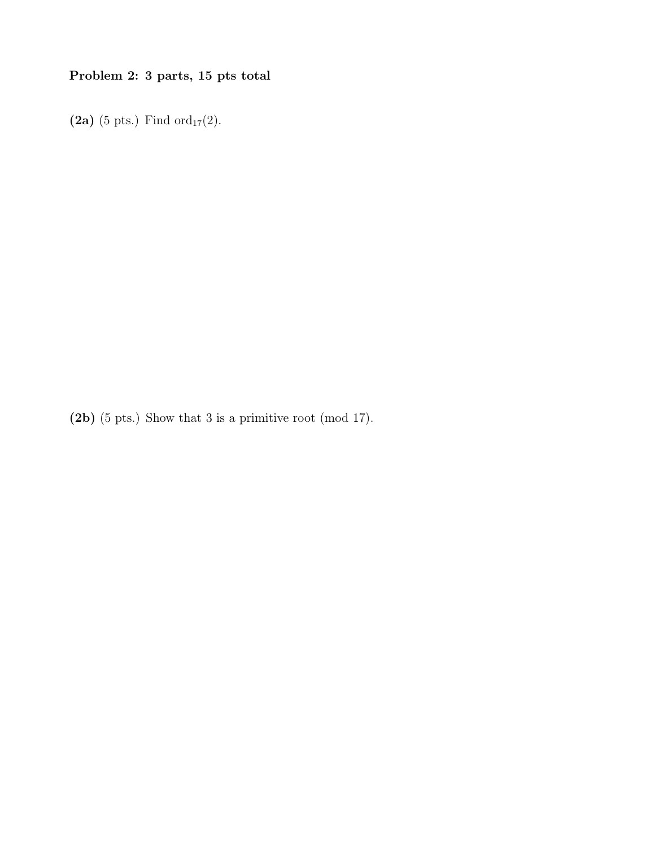# Problem 2: 3 parts, 15 pts total

(2a) (5 pts.) Find  $\text{ord}_{17}(2)$ .

(2b) (5 pts.) Show that 3 is a primitive root (mod 17).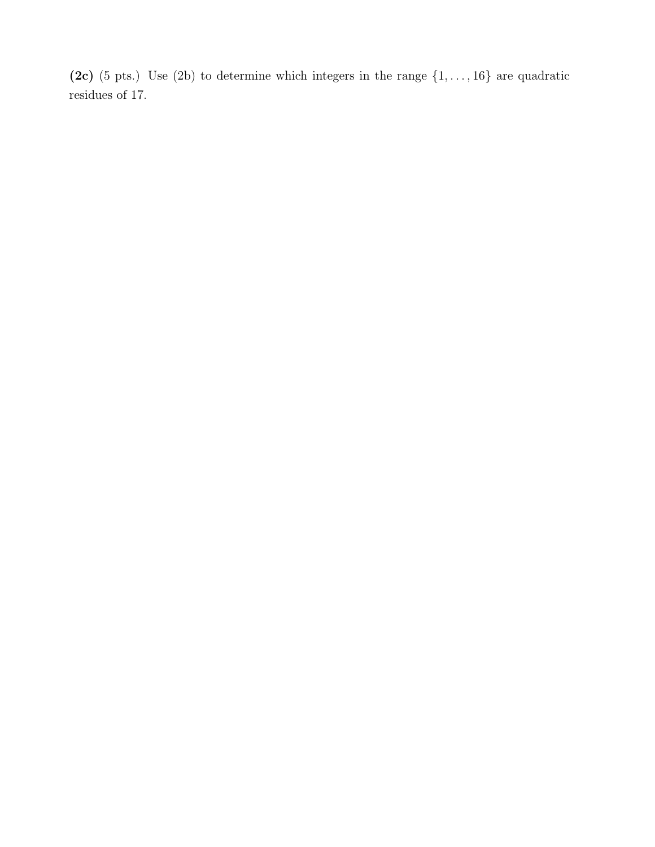(2c) (5 pts.) Use (2b) to determine which integers in the range  $\{1, \ldots, 16\}$  are quadratic residues of 17.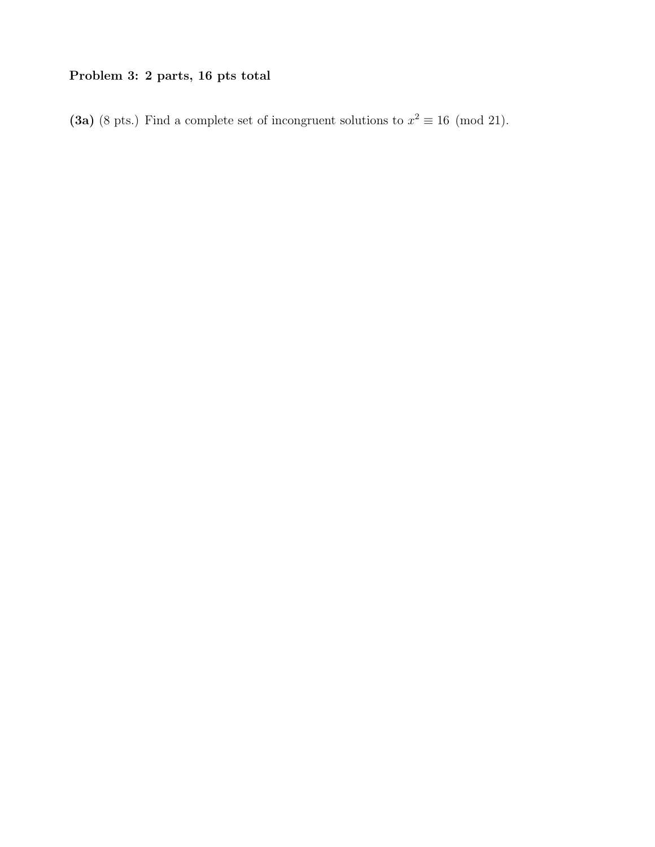# Problem 3: 2 parts, 16 pts total

(3a) (8 pts.) Find a complete set of incongruent solutions to  $x^2 \equiv 16 \pmod{21}$ .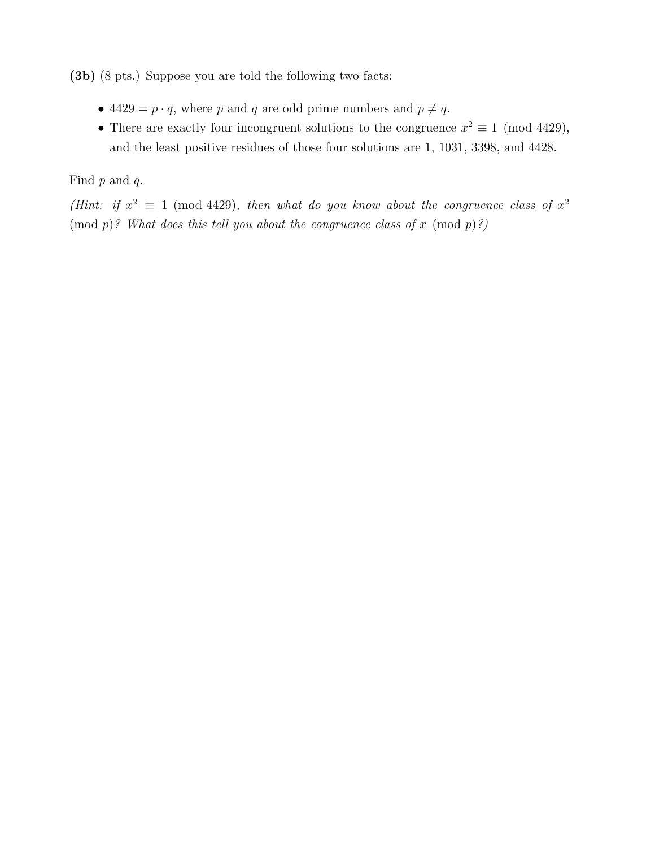(3b) (8 pts.) Suppose you are told the following two facts:

- 4429 =  $p \cdot q$ , where p and q are odd prime numbers and  $p \neq q$ .
- There are exactly four incongruent solutions to the congruence  $x^2 \equiv 1 \pmod{4429}$ , and the least positive residues of those four solutions are 1, 1031, 3398, and 4428.

Find  $p$  and  $q$ .

(Hint: if  $x^2 \equiv 1 \pmod{4429}$ , then what do you know about the congruence class of  $x^2$  $p$ ? What does this tell you about the congruence class of x  $p$ ?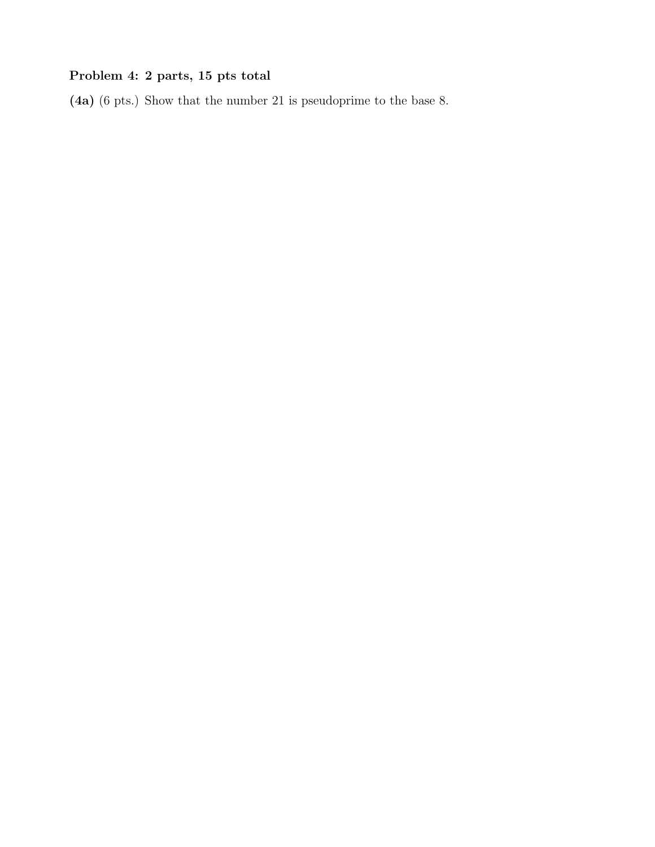# Problem 4: 2 parts, 15 pts total

(4a) (6 pts.) Show that the number 21 is pseudoprime to the base 8.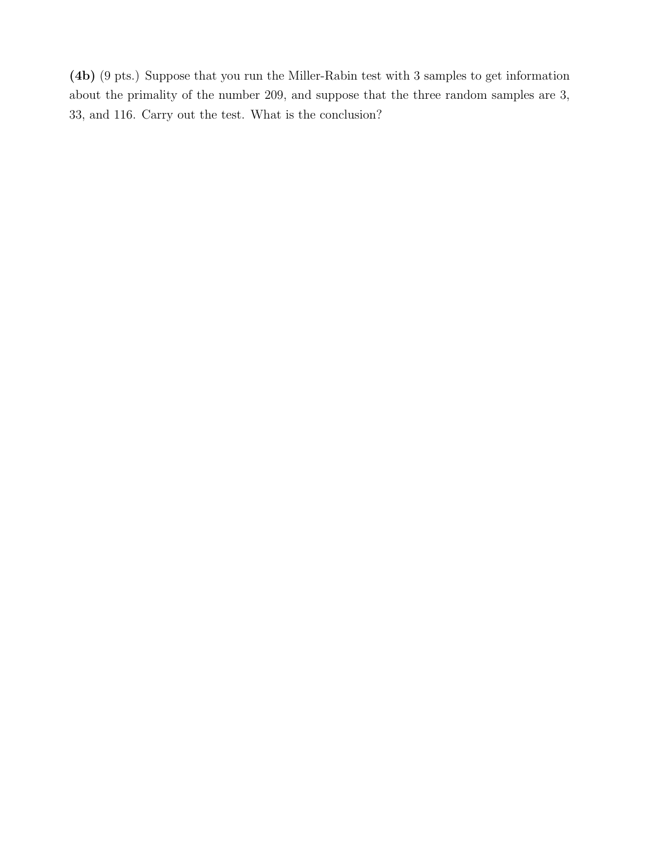(4b) (9 pts.) Suppose that you run the Miller-Rabin test with 3 samples to get information about the primality of the number 209, and suppose that the three random samples are 3, 33, and 116. Carry out the test. What is the conclusion?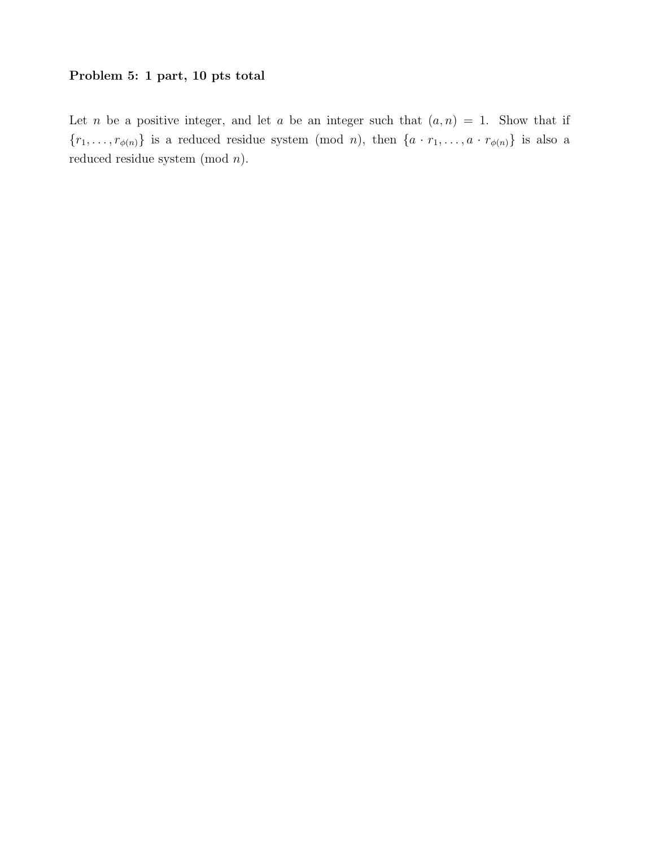## Problem 5: 1 part, 10 pts total

Let n be a positive integer, and let a be an integer such that  $(a, n) = 1$ . Show that if  $\{r_1, \ldots, r_{\phi(n)}\}$  is a reduced residue system (mod *n*), then  $\{a \cdot r_1, \ldots, a \cdot r_{\phi(n)}\}$  is also a reduced residue system (mod n).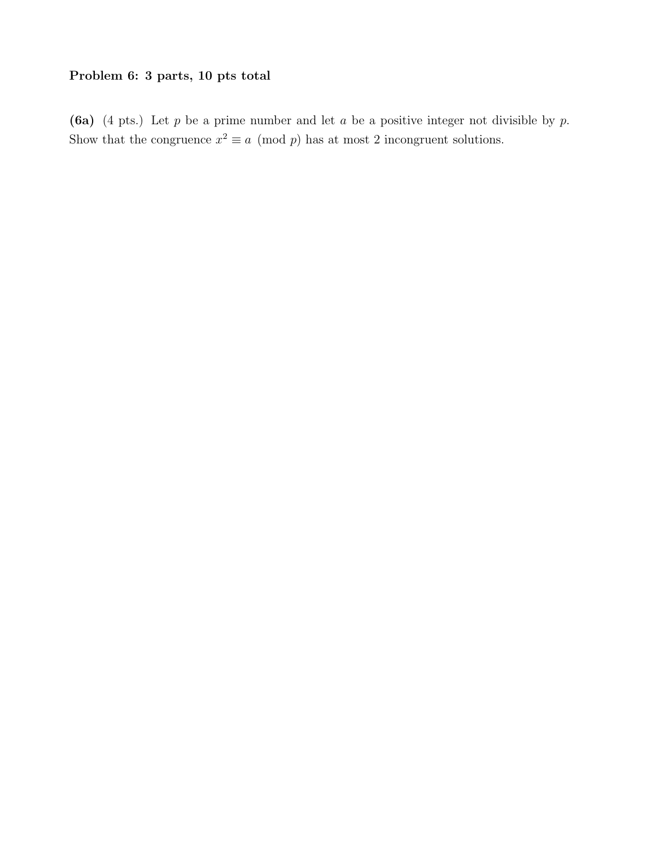## Problem 6: 3 parts, 10 pts total

(6a) (4 pts.) Let  $p$  be a prime number and let  $a$  be a positive integer not divisible by  $p$ . Show that the congruence  $x^2 \equiv a \pmod{p}$  has at most 2 incongruent solutions.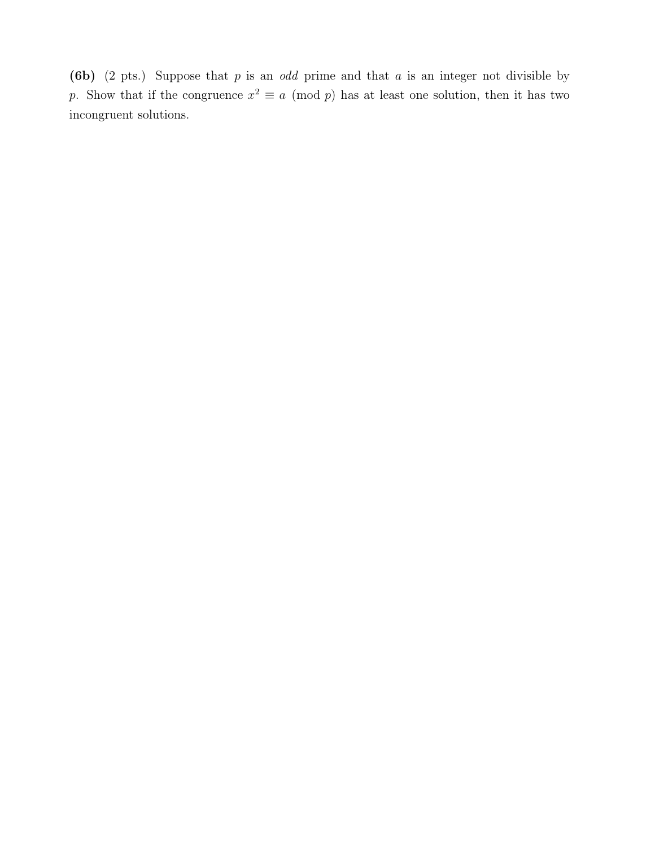(6b) (2 pts.) Suppose that  $p$  is an *odd* prime and that  $a$  is an integer not divisible by p. Show that if the congruence  $x^2 \equiv a \pmod{p}$  has at least one solution, then it has two incongruent solutions.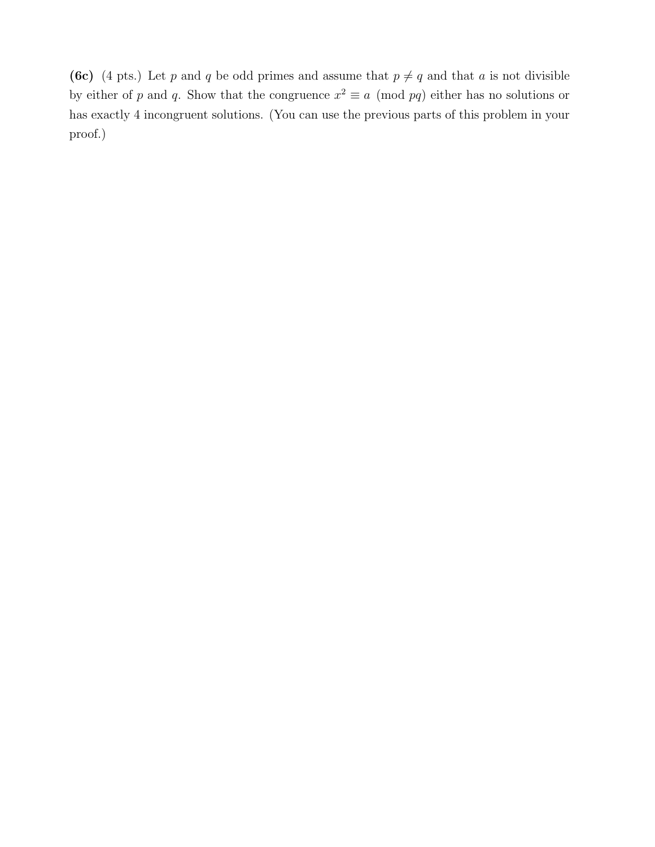(6c) (4 pts.) Let p and q be odd primes and assume that  $p \neq q$  and that a is not divisible by either of p and q. Show that the congruence  $x^2 \equiv a \pmod{pq}$  either has no solutions or has exactly 4 incongruent solutions. (You can use the previous parts of this problem in your proof.)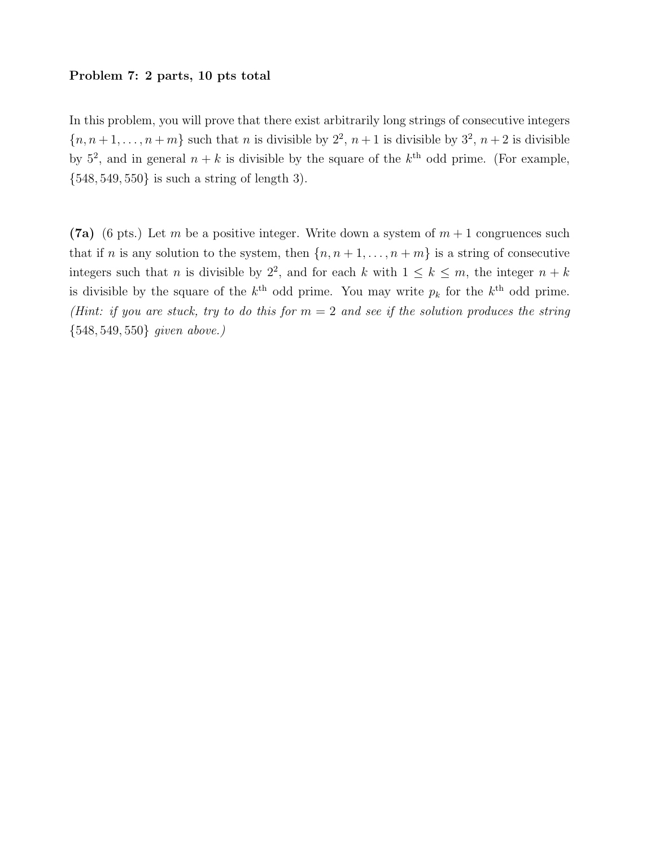### Problem 7: 2 parts, 10 pts total

In this problem, you will prove that there exist arbitrarily long strings of consecutive integers  ${n, n+1, \ldots, n+m}$  such that *n* is divisible by  $2^2$ ,  $n+1$  is divisible by  $3^2$ ,  $n+2$  is divisible by  $5^2$ , and in general  $n + k$  is divisible by the square of the  $k^{\text{th}}$  odd prime. (For example, {548, 549, 550} is such a string of length 3).

(7a) (6 pts.) Let m be a positive integer. Write down a system of  $m + 1$  congruences such that if n is any solution to the system, then  $\{n, n+1, \ldots, n+m\}$  is a string of consecutive integers such that n is divisible by  $2^2$ , and for each k with  $1 \leq k \leq m$ , the integer  $n + k$ is divisible by the square of the  $k^{\text{th}}$  odd prime. You may write  $p_k$  for the  $k^{\text{th}}$  odd prime. (Hint: if you are stuck, try to do this for  $m = 2$  and see if the solution produces the string {548, 549, 550} given above.)